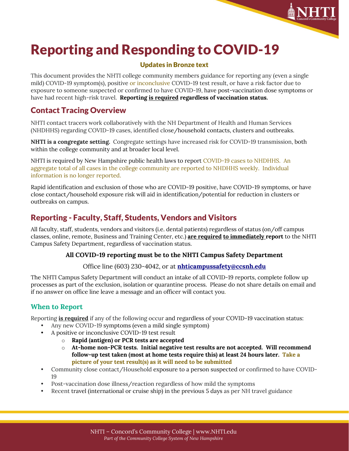

# Reporting and Responding to COVID-19

### Updates in Bronze text

This document provides the NHTI college community members guidance for reporting any (even a single mild) COVID-19 symptom(s), positive or inconclusive COVID-19 test result, or have a risk factor due to exposure to someone suspected or confirmed to have COVID-19, have post-vaccination dose symptoms or have had recent high-risk travel. **Reporting is required regardless of vaccination status.**

### Contact Tracing Overview

NHTI contact tracers work collaboratively with the NH Department of Health and Human Services (NHDHHS) regarding COVID-19 cases, identified close/household contacts, clusters and outbreaks.

**NHTI is a congregate setting.** Congregate settings have increased risk for COVID-19 transmission, both within the college community and at broader local level.

NHTI is required by New Hampshire public health laws to report COVID-19 cases to NHDHHS. An aggregate total of all cases in the college community are reported to NHDHHS weekly. Individual information is no longer reported.

Rapid identification and exclusion of those who are COVID-19 positive, have COVID-19 symptoms, or have close contact/household exposure risk will aid in identification/potential for reduction in clusters or outbreaks on campus.

# Reporting - Faculty, Staff, Students, Vendors and Visitors

All faculty, staff, students, vendors and visitors (i.e. dental patients) regardless of status (on/off campus classes, online, remote, Business and Training Center, etc.) **are required to immediately report** to the NHTI Campus Safety Department, regardless of vaccination status.

### **All COVID-19 reporting must be to the NHTI Campus Safety Department**

Office line (603) 230-4042, or at **[nhticampussafety@ccsnh.edu](mailto:nhticampussafety@ccsnh.edu)**

The NHTI Campus Safety Department will conduct an intake of all COVID-19 reports, complete follow up processes as part of the exclusion, isolation or quarantine process. Please do not share details on email and if no answer on office line leave a message and an officer will contact you.

### **When to Report**

Reporting **is required** if any of the following occur and regardless of your COVID-19 vaccination status:

- Any new COVID-19 symptoms (even a mild single symptom)
- A positive or inconclusive COVID-19 test result
	- o **Rapid (antigen) or PCR tests are accepted**
	- o **At-home non-PCR tests. Initial negative test results are not accepted. Will recommend follow-up test taken (most at home tests require this) at least 24 hours later. Take a picture of your test result(s) as it will need to be submitted**
- Community close contact/Household exposure to a person suspected or confirmed to have COVID-19
- Post-vaccination dose illness/reaction regardless of how mild the symptoms
- Recent travel (international or cruise ship) in the previous 5 days as per NH travel guidance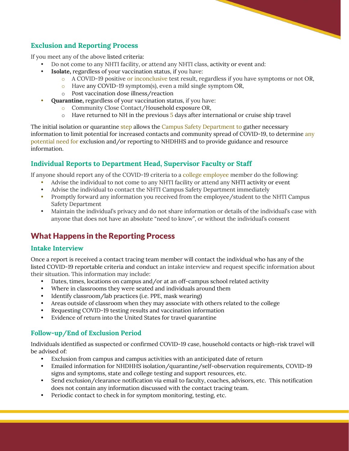### **Exclusion and Reporting Process**

If you meet any of the above listed criteria:

- Do not come to any NHTI facility, or attend any NHTI class, activity or event and:
- **Isolate,** regardless of your vaccination status, if you have:
	- o A COVID-19 positive or inconclusive test result, regardless if you have symptoms or not OR,
	- o Have any COVID-19 symptom(s), even a mild single symptom OR,
	- o Post vaccination dose illness/reaction
- **Quarantine,** regardless of your vaccination status, if you have:
	- o Community Close Contact/Household exposure OR,
	- $\circ$  Have returned to NH in the previous 5 days after international or cruise ship travel

The initial isolation or quarantine step allows the Campus Safety Department to gather necessary information to limit potential for increased contacts and community spread of COVID-19, to determine any potential need for exclusion and/or reporting to NHDHHS and to provide guidance and resource information.

### **Individual Reports to Department Head, Supervisor Faculty or Staff**

If anyone should report any of the COVID-19 criteria to a college employee member do the following:

- Advise the individual to not come to any NHTI facility or attend any NHTI activity or event
- Advise the individual to contact the NHTI Campus Safety Department immediately
- Promptly forward any information you received from the employee/student to the NHTI Campus Safety Department
- Maintain the individual's privacy and do not share information or details of the individual's case with anyone that does not have an absolute "need to know", or without the individual's consent

### What Happens in the Reporting Process

#### **Intake Interview**

Once a report is received a contact tracing team member will contact the individual who has any of the listed COVID-19 reportable criteria and conduct an intake interview and request specific information about their situation. This information may include:

- Dates, times, locations on campus and/or at an off-campus school related activity
- Where in classrooms they were seated and individuals around them
- Identify classroom/lab practices (i.e. PPE, mask wearing)
- Areas outside of classroom when they may associate with others related to the college
- Requesting COVID-19 testing results and vaccination information
- Evidence of return into the United States for travel quarantine

#### **Follow-up/End of Exclusion Period**

Individuals identified as suspected or confirmed COVID-19 case, household contacts or high-risk travel will be advised of:

- Exclusion from campus and campus activities with an anticipated date of return
- Emailed information for NHDHHS isolation/quarantine/self-observation requirements, COVID-19 signs and symptoms, state and college testing and support resources, etc.
- Send exclusion/clearance notification via email to faculty, coaches, advisors, etc. This notification does not contain any information discussed with the contact tracing team.
- Periodic contact to check in for symptom monitoring, testing, etc.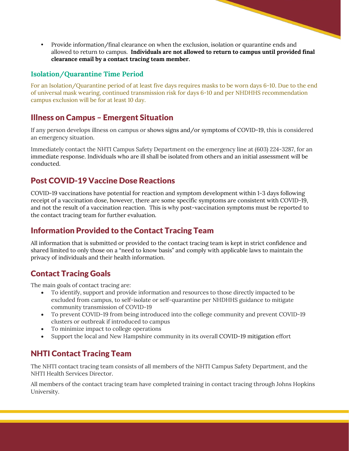• Provide information/final clearance on when the exclusion, isolation or quarantine ends and allowed to return to campus. **Individuals are not allowed to return to campus until provided final clearance email by a contact tracing team member.**

### **Isolation/Quarantine Time Period**

For an Isolation/Quarantine period of at least five days requires masks to be worn days 6-10. Due to the end of universal mask wearing, continued transmission risk for days 6-10 and per NHDHHS recommendation campus exclusion will be for at least 10 day.

### Illness on Campus – Emergent Situation

If any person develops illness on campus or shows signs and/or symptoms of COVID-19, this is considered an emergency situation.

Immediately contact the NHTI Campus Safety Department on the emergency line at (603) 224-3287, for an immediate response. Individuals who are ill shall be isolated from others and an initial assessment will be conducted.

# Post COVID-19 Vaccine Dose Reactions

COVID-19 vaccinations have potential for reaction and symptom development within 1-3 days following receipt of a vaccination dose, however, there are some specific symptoms are consistent with COVID-19, and not the result of a vaccination reaction. This is why post-vaccination symptoms must be reported to the contact tracing team for further evaluation.

# Information Provided to the Contact Tracing Team

All information that is submitted or provided to the contact tracing team is kept in strict confidence and shared limited to only those on a "need to know basis" and comply with applicable laws to maintain the privacy of individuals and their health information.

# Contact Tracing Goals

The main goals of contact tracing are:

- To identify, support and provide information and resources to those directly impacted to be excluded from campus, to self-isolate or self-quarantine per NHDHHS guidance to mitigate community transmission of COVID-19
- To prevent COVID-19 from being introduced into the college community and prevent COVID-19 clusters or outbreak if introduced to campus
- To minimize impact to college operations
- Support the local and New Hampshire community in its overall COVID-19 mitigation effort

# NHTI Contact Tracing Team

The NHTI contact tracing team consists of all members of the NHTI Campus Safety Department, and the NHTI Health Services Director.

All members of the contact tracing team have completed training in contact tracing through Johns Hopkins University.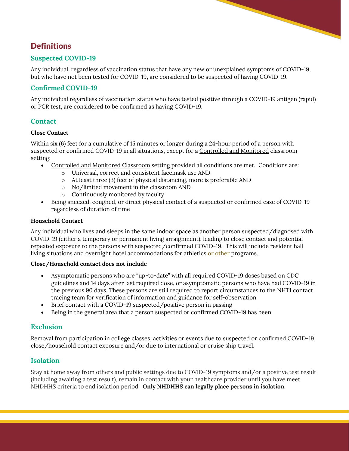# **Definitions**

### **Suspected COVID-19**

Any individual, regardless of vaccination status that have any new or unexplained symptoms of COVID-19, but who have not been tested for COVID-19, are considered to be suspected of having COVID-19.

### **Confirmed COVID-19**

Any individual regardless of vaccination status who have tested positive through a COVID-19 antigen (rapid) or PCR test, are considered to be confirmed as having COVID-19.

### **Contact**

#### **Close Contact**

Within six (6) feet for a cumulative of 15 minutes or longer during a 24-hour period of a person with suspected or confirmed COVID-19 in all situations, except for a Controlled and Monitored classroom setting:

- Controlled and Monitored Classroom setting provided all conditions are met. Conditions are:
	- o Universal, correct and consistent facemask use AND
	- o At least three (3) feet of physical distancing, more is preferable AND
	- o No/limited movement in the classroom AND
	- o Continuously monitored by faculty
- Being sneezed, coughed, or direct physical contact of a suspected or confirmed case of COVID-19 regardless of duration of time

#### **Household Contact**

Any individual who lives and sleeps in the same indoor space as another person suspected/diagnosed with COVID-19 (either a temporary or permanent living arraignment), leading to close contact and potential repeated exposure to the persons with suspected/confirmed COVID-19. This will include resident hall living situations and overnight hotel accommodations for athletics or other programs.

#### **Close/Household contact does not include**

- Asymptomatic persons who are "up-to-date" with all required COVID-19 doses based on CDC guidelines and 14 days after last required dose, or asymptomatic persons who have had COVID-19 in the previous 90 days. These persons are still required to report circumstances to the NHTI contact tracing team for verification of information and guidance for self-observation.
- Brief contact with a COVID-19 suspected/positive person in passing
- Being in the general area that a person suspected or confirmed COVID-19 has been

#### **Exclusion**

Removal from participation in college classes, activities or events due to suspected or confirmed COVID-19, close/household contact exposure and/or due to international or cruise ship travel.

#### **Isolation**

Stay at home away from others and public settings due to COVID-19 symptoms and/or a positive test result (including awaiting a test result), remain in contact with your healthcare provider until you have meet NHDHHS criteria to end isolation period. **Only NHDHHS can legally place persons in isolation.**